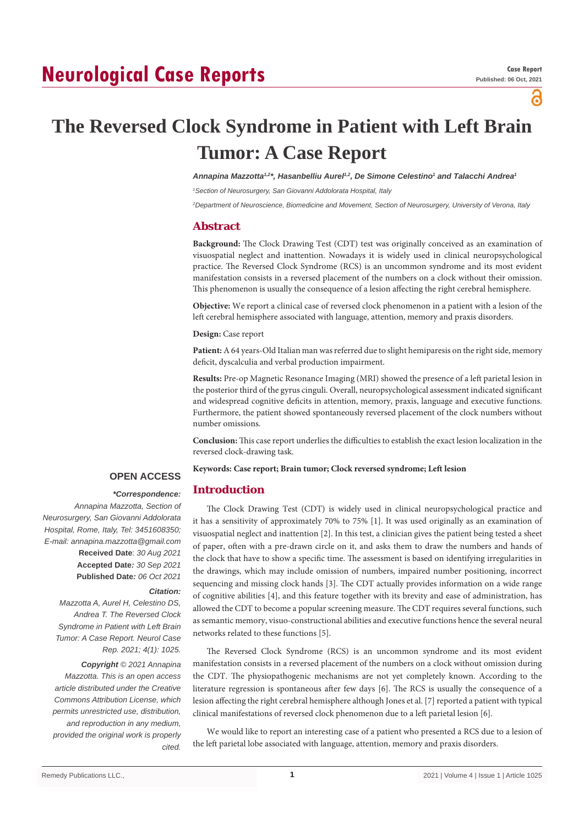# **Neurological Case Reports**

ဥ

# **The Reversed Clock Syndrome in Patient with Left Brain Tumor: A Case Report**

Annapina Mazzotta<sup>1,2\*</sup>, Hasanbelliu Aurel<sup>1,2</sup>, De Simone Celestino<sup>1</sup> and Talacchi Andrea<sup>1</sup>

*1 Section of Neurosurgery, San Giovanni Addolorata Hospital, Italy*

*2 Department of Neuroscience, Biomedicine and Movement, Section of Neurosurgery, University of Verona, Italy*

## **Abstract**

**Background:** The Clock Drawing Test (CDT) test was originally conceived as an examination of visuospatial neglect and inattention. Nowadays it is widely used in clinical neuropsychological practice. The Reversed Clock Syndrome (RCS) is an uncommon syndrome and its most evident manifestation consists in a reversed placement of the numbers on a clock without their omission. This phenomenon is usually the consequence of a lesion affecting the right cerebral hemisphere.

**Objective:** We report a clinical case of reversed clock phenomenon in a patient with a lesion of the left cerebral hemisphere associated with language, attention, memory and praxis disorders.

#### **Design:** Case report

**Patient:** A 64 years-Old Italian man was referred due to slight hemiparesis on the right side, memory deficit, dyscalculia and verbal production impairment.

**Results:** Pre-op Magnetic Resonance Imaging (MRI) showed the presence of a left parietal lesion in the posterior third of the gyrus cinguli. Overall, neuropsychological assessment indicated significant and widespread cognitive deficits in attention, memory, praxis, language and executive functions. Furthermore, the patient showed spontaneously reversed placement of the clock numbers without number omissions.

**Conclusion:** This case report underlies the difficulties to establish the exact lesion localization in the reversed clock-drawing task.

**Keywords: Case report; Brain tumor; Clock reversed syndrome; Left lesion**

## **OPEN ACCESS**

# **Introduction**

# *\*Correspondence:*

*Annapina Mazzotta, Section of Neurosurgery, San Giovanni Addolorata Hospital, Rome, Italy, Tel: 3451608350; E-mail: annapina.mazzotta@gmail.com* **Received Date**: *30 Aug 2021* **Accepted Date***: 30 Sep 2021* **Published Date***: 06 Oct 2021*

#### *Citation:*

*Mazzotta A, Aurel H, Celestino DS, Andrea T. The Reversed Clock Syndrome in Patient with Left Brain Tumor: A Case Report. Neurol Case Rep. 2021; 4(1): 1025. Copyright © 2021 Annapina Mazzotta. This is an open access article distributed under the Creative Commons Attribution License, which permits unrestricted use, distribution, and reproduction in any medium, provided the original work is properly cited.*

The Clock Drawing Test (CDT) is widely used in clinical neuropsychological practice and it has a sensitivity of approximately 70% to 75% [1]. It was used originally as an examination of visuospatial neglect and inattention [2]. In this test, a clinician gives the patient being tested a sheet of paper, often with a pre-drawn circle on it, and asks them to draw the numbers and hands of the clock that have to show a specific time. The assessment is based on identifying irregularities in the drawings, which may include omission of numbers, impaired number positioning, incorrect sequencing and missing clock hands [3]. The CDT actually provides information on a wide range of cognitive abilities [4], and this feature together with its brevity and ease of administration, has allowed the CDT to become a popular screening measure. The CDT requires several functions, such as semantic memory, visuo-constructional abilities and executive functions hence the several neural networks related to these functions [5].

The Reversed Clock Syndrome (RCS) is an uncommon syndrome and its most evident manifestation consists in a reversed placement of the numbers on a clock without omission during the CDT. The physiopathogenic mechanisms are not yet completely known. According to the literature regression is spontaneous after few days [6]. The RCS is usually the consequence of a lesion affecting the right cerebral hemisphere although Jones et al. [7] reported a patient with typical clinical manifestations of reversed clock phenomenon due to a left parietal lesion [6].

We would like to report an interesting case of a patient who presented a RCS due to a lesion of the left parietal lobe associated with language, attention, memory and praxis disorders.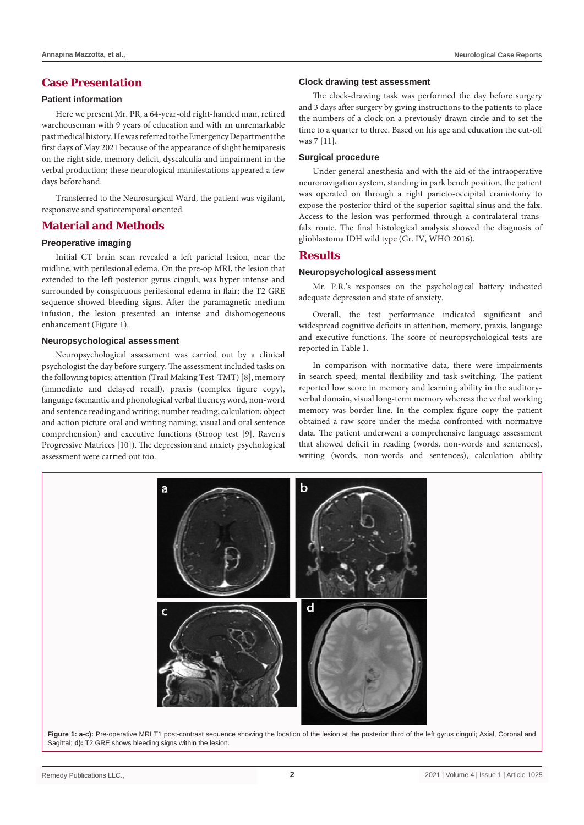# **Case Presentation**

#### **Patient information**

Here we present Mr. PR, a 64-year-old right-handed man, retired warehouseman with 9 years of education and with an unremarkable past medical history. He was referred to the Emergency Department the first days of May 2021 because of the appearance of slight hemiparesis on the right side, memory deficit, dyscalculia and impairment in the verbal production; these neurological manifestations appeared a few days beforehand.

Transferred to the Neurosurgical Ward, the patient was vigilant, responsive and spatiotemporal oriented.

## **Material and Methods**

## **Preoperative imaging**

Initial CT brain scan revealed a left parietal lesion, near the midline, with perilesional edema. On the pre-op MRI, the lesion that extended to the left posterior gyrus cinguli, was hyper intense and surrounded by conspicuous perilesional edema in flair; the T2 GRE sequence showed bleeding signs. After the paramagnetic medium infusion, the lesion presented an intense and dishomogeneous enhancement (Figure 1).

#### **Neuropsychological assessment**

Neuropsychological assessment was carried out by a clinical psychologist the day before surgery. The assessment included tasks on the following topics: attention (Trail Making Test-TMT) [8], memory (immediate and delayed recall), praxis (complex figure copy), language (semantic and phonological verbal fluency; word, non-word and sentence reading and writing; number reading; calculation; object and action picture oral and writing naming; visual and oral sentence comprehension) and executive functions (Stroop test [9], Raven's Progressive Matrices [10]). The depression and anxiety psychological assessment were carried out too.

#### **Annapina Mazzotta, et al., Neurological Case Reports**

#### **Clock drawing test assessment**

The clock-drawing task was performed the day before surgery and 3 days after surgery by giving instructions to the patients to place the numbers of a clock on a previously drawn circle and to set the time to a quarter to three. Based on his age and education the cut-off was 7 [11].

#### **Surgical procedure**

Under general anesthesia and with the aid of the intraoperative neuronavigation system, standing in park bench position, the patient was operated on through a right parieto-occipital craniotomy to expose the posterior third of the superior sagittal sinus and the falx. Access to the lesion was performed through a contralateral transfalx route. The final histological analysis showed the diagnosis of glioblastoma IDH wild type (Gr. IV, WHO 2016).

### **Results**

#### **Neuropsychological assessment**

Mr. P.R.'s responses on the psychological battery indicated adequate depression and state of anxiety.

Overall, the test performance indicated significant and widespread cognitive deficits in attention, memory, praxis, language and executive functions. The score of neuropsychological tests are reported in Table 1.

In comparison with normative data, there were impairments in search speed, mental flexibility and task switching. The patient reported low score in memory and learning ability in the auditoryverbal domain, visual long-term memory whereas the verbal working memory was border line. In the complex figure copy the patient obtained a raw score under the media confronted with normative data. The patient underwent a comprehensive language assessment that showed deficit in reading (words, non-words and sentences), writing (words, non-words and sentences), calculation ability



Figure 1: a-c): Pre-operative MRI T1 post-contrast sequence showing the location of the lesion at the posterior third of the left gyrus cinguli; Axial, Coronal and Sagittal; **d):** T2 GRE shows bleeding signs within the lesion.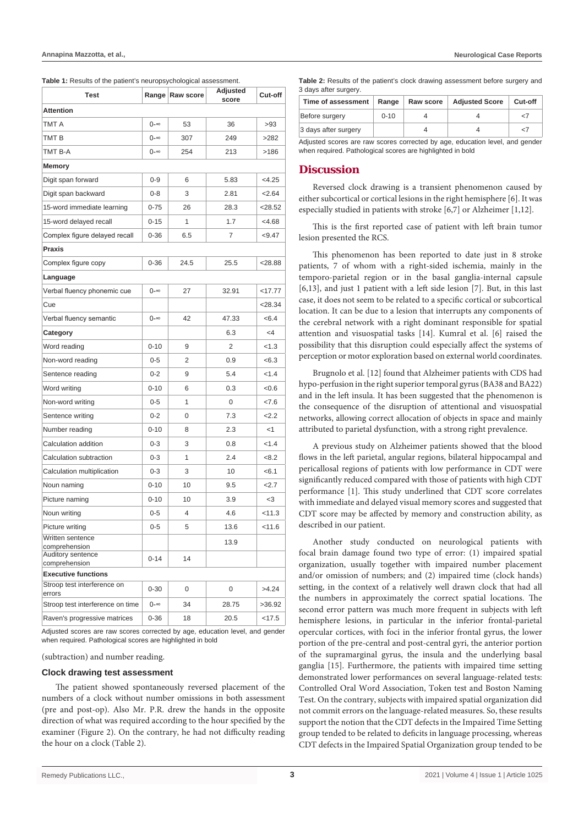**Table 1:** Results of the patient's neuropsychological assessment.

| <b>Test</b>                           |          | Range Raw score | Adjusted<br>score | Cut-off   |  |  |  |  |
|---------------------------------------|----------|-----------------|-------------------|-----------|--|--|--|--|
| <b>Attention</b>                      |          |                 |                   |           |  |  |  |  |
| TMT A                                 | 0-∞      | 53              | 36                | >93       |  |  |  |  |
| TMT B                                 | 0-∞      | 307             | 249               | >282      |  |  |  |  |
| TMT B-A                               | 0-∞      | 254             | 213               | >186      |  |  |  |  |
| Memory                                |          |                 |                   |           |  |  |  |  |
| Digit span forward                    | $0 - 9$  | 6               | 5.83              | <4.25     |  |  |  |  |
| Digit span backward                   | 0-8      | 3               | 2.81              | 2.64      |  |  |  |  |
| 15-word immediate learning            | $0 - 75$ | 26              | 28.3              | < 28.52   |  |  |  |  |
| 15-word delayed recall                | $0 - 15$ | 1               | 1.7               | <4.68     |  |  |  |  |
| Complex figure delayed recall         | $0 - 36$ | 6.5             | 7                 | < 9.47    |  |  |  |  |
| Praxis                                |          |                 |                   |           |  |  |  |  |
| Complex figure copy                   | $0 - 36$ | 24.5            | 25.5              | <28.88    |  |  |  |  |
| Language                              |          |                 |                   |           |  |  |  |  |
| Verbal fluency phonemic cue           | 0-∞      | 27              | 32.91             | $<$ 17.77 |  |  |  |  |
| Cue                                   |          |                 |                   | <28.34    |  |  |  |  |
| Verbal fluency semantic               | 0-∞      | 42              | 47.33             | < 6.4     |  |  |  |  |
| Category                              |          |                 | 6.3               | <4        |  |  |  |  |
| Word reading                          | $0 - 10$ | 9               | 2                 | < 1.3     |  |  |  |  |
| Non-word reading                      | $0 - 5$  | 2               | 0.9               | < 6.3     |  |  |  |  |
| Sentence reading                      | $0 - 2$  | 9               | 5.4               | 1.4       |  |  |  |  |
| Word writing                          | $0 - 10$ | 6               | 0.3               | < 0.6     |  |  |  |  |
| Non-word writing                      | $0 - 5$  | 1               | 0                 | <7.6      |  |  |  |  |
| Sentence writing                      | $0 - 2$  | 0               | 7.3               | 2.2       |  |  |  |  |
| Number reading                        | $0 - 10$ | 8               | 2.3               | $<$ 1     |  |  |  |  |
| Calculation addition                  | $0 - 3$  | 3               | 0.8               | < 1.4     |  |  |  |  |
| Calculation subtraction               | $0 - 3$  | 1               | 2.4               | <8.2      |  |  |  |  |
| Calculation multiplication            | $0 - 3$  | 3               | 10                | < 6.1     |  |  |  |  |
| Noun naming                           | $0 - 10$ | 10              | 9.5               | 2.7       |  |  |  |  |
| Picture naming                        | $0 - 10$ | 10              | 3.9               | $<$ 3     |  |  |  |  |
| Noun writing                          | $0 - 5$  | 4               | 4.6               | < 11.3    |  |  |  |  |
| Picture writing                       | $0 - 5$  | 5               | 13.6              | 11.6      |  |  |  |  |
| Written sentence                      |          |                 | 13.9              |           |  |  |  |  |
| comprehension<br>Auditory sentence    | $0 - 14$ | 14              |                   |           |  |  |  |  |
| comprehension                         |          |                 |                   |           |  |  |  |  |
| <b>Executive functions</b>            |          |                 |                   |           |  |  |  |  |
| Stroop test interference on<br>errors | $0 - 30$ | 0               | 0                 | >4.24     |  |  |  |  |
| Stroop test interference on time      | 0-∞      | 34              | 28.75             | >36.92    |  |  |  |  |
| Raven's progressive matrices          | $0 - 36$ | 18              | 20.5              | $<$ 17.5  |  |  |  |  |

Adjusted scores are raw scores corrected by age, education level, and gender when required. Pathological scores are highlighted in bold

(subtraction) and number reading.

#### **Clock drawing test assessment**

The patient showed spontaneously reversed placement of the numbers of a clock without number omissions in both assessment (pre and post-op). Also Mr. P.R. drew the hands in the opposite direction of what was required according to the hour specified by the examiner (Figure 2). On the contrary, he had not difficulty reading the hour on a clock (Table 2).

| <b>Table 2:</b> Results of the patient's clock drawing assessment before surgery and |  |
|--------------------------------------------------------------------------------------|--|
| 3 days after surgery.                                                                |  |

| Time of assessment   | Range    | Raw score | <b>Adjusted Score</b> | Cut-off |
|----------------------|----------|-----------|-----------------------|---------|
| Before surgery       | $0 - 10$ |           |                       |         |
| 3 days after surgery |          |           |                       | -7      |
| $\cdots$             |          |           |                       |         |

Adjusted scores are raw scores corrected by age, education level, and gender when required. Pathological scores are highlighted in bold

#### **Discussion**

Reversed clock drawing is a transient phenomenon caused by either subcortical or cortical lesions in the right hemisphere [6]. It was especially studied in patients with stroke [6,7] or Alzheimer [1,12].

This is the first reported case of patient with left brain tumor lesion presented the RCS.

This phenomenon has been reported to date just in 8 stroke patients, 7 of whom with a right-sided ischemia, mainly in the temporo-parietal region or in the basal ganglia-internal capsule [6,13], and just 1 patient with a left side lesion [7]. But, in this last case, it does not seem to be related to a specific cortical or subcortical location. It can be due to a lesion that interrupts any components of the cerebral network with a right dominant responsible for spatial attention and visuospatial tasks [14]. Kumral et al. [6] raised the possibility that this disruption could especially affect the systems of perception or motor exploration based on external world coordinates.

Brugnolo et al. [12] found that Alzheimer patients with CDS had hypo-perfusion in the right superior temporal gyrus (BA38 and BA22) and in the left insula. It has been suggested that the phenomenon is the consequence of the disruption of attentional and visuospatial networks, allowing correct allocation of objects in space and mainly attributed to parietal dysfunction, with a strong right prevalence.

A previous study on Alzheimer patients showed that the blood flows in the left parietal, angular regions, bilateral hippocampal and pericallosal regions of patients with low performance in CDT were significantly reduced compared with those of patients with high CDT performance [1]. This study underlined that CDT score correlates with immediate and delayed visual memory scores and suggested that CDT score may be affected by memory and construction ability, as described in our patient.

Another study conducted on neurological patients with focal brain damage found two type of error: (1) impaired spatial organization, usually together with impaired number placement and/or omission of numbers; and (2) impaired time (clock hands) setting, in the context of a relatively well drawn clock that had all the numbers in approximately the correct spatial locations. The second error pattern was much more frequent in subjects with left hemisphere lesions, in particular in the inferior frontal-parietal opercular cortices, with foci in the inferior frontal gyrus, the lower portion of the pre-central and post-central gyri, the anterior portion of the supramarginal gyrus, the insula and the underlying basal ganglia [15]. Furthermore, the patients with impaired time setting demonstrated lower performances on several language-related tests: Controlled Oral Word Association, Token test and Boston Naming Test. On the contrary, subjects with impaired spatial organization did not commit errors on the language-related measures. So, these results support the notion that the CDT defects in the Impaired Time Setting group tended to be related to deficits in language processing, whereas CDT defects in the Impaired Spatial Organization group tended to be